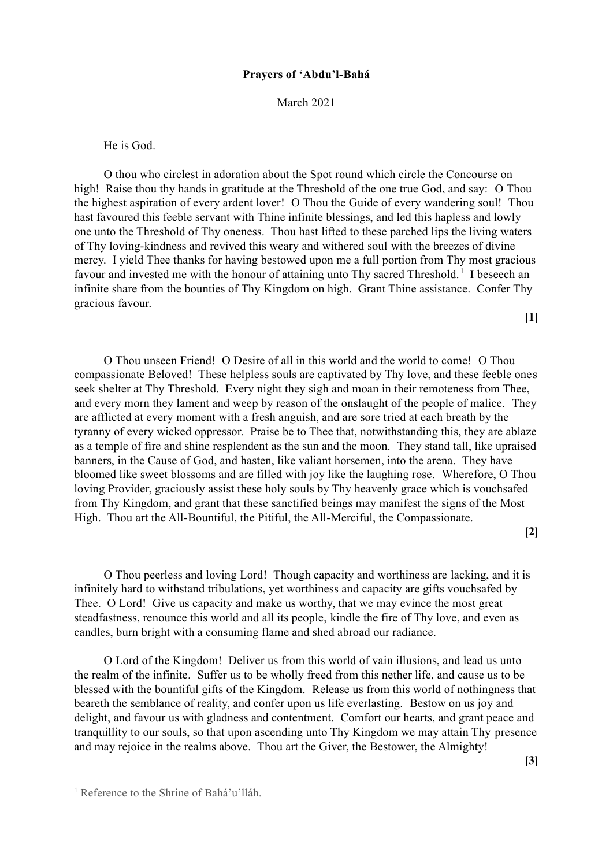## **Prayers of 'Abdu'l-Bahá**

March 2021

He is God.

O thou who circlest in adoration about the Spot round which circle the Concourse on high! Raise thou thy hands in gratitude at the Threshold of the one true God, and say: O Thou the highest aspiration of every ardent lover! O Thou the Guide of every wandering soul! Thou hast favoured this feeble servant with Thine infinite blessings, and led this hapless and lowly one unto the Threshold of Thy oneness. Thou hast lifted to these parched lips the living waters of Thy loving-kindness and revived this weary and withered soul with the breezes of divine mercy. I yield Thee thanks for having bestowed upon me a full portion from Thy most gracious favour and invested me with the honour of attaining unto Thy sacred Threshold.<sup>1</sup> I beseech an infinite share from the bounties of Thy Kingdom on high. Grant Thine assistance. Confer Thy gracious favour.

**[1]**

O Thou unseen Friend! O Desire of all in this world and the world to come! O Thou compassionate Beloved! These helpless souls are captivated by Thy love, and these feeble ones seek shelter at Thy Threshold. Every night they sigh and moan in their remoteness from Thee, and every morn they lament and weep by reason of the onslaught of the people of malice. They are afflicted at every moment with a fresh anguish, and are sore tried at each breath by the tyranny of every wicked oppressor. Praise be to Thee that, notwithstanding this, they are ablaze as a temple of fire and shine resplendent as the sun and the moon. They stand tall, like upraised banners, in the Cause of God, and hasten, like valiant horsemen, into the arena. They have bloomed like sweet blossoms and are filled with joy like the laughing rose. Wherefore, O Thou loving Provider, graciously assist these holy souls by Thy heavenly grace which is vouchsafed from Thy Kingdom, and grant that these sanctified beings may manifest the signs of the Most High. Thou art the All-Bountiful, the Pitiful, the All-Merciful, the Compassionate.

**[2]**

**[3]**

O Thou peerless and loving Lord! Though capacity and worthiness are lacking, and it is infinitely hard to withstand tribulations, yet worthiness and capacity are gifts vouchsafed by Thee. O Lord! Give us capacity and make us worthy, that we may evince the most great steadfastness, renounce this world and all its people, kindle the fire of Thy love, and even as candles, burn bright with a consuming flame and shed abroad our radiance.

O Lord of the Kingdom! Deliver us from this world of vain illusions, and lead us unto the realm of the infinite. Suffer us to be wholly freed from this nether life, and cause us to be blessed with the bountiful gifts of the Kingdom. Release us from this world of nothingness that beareth the semblance of reality, and confer upon us life everlasting. Bestow on us joy and delight, and favour us with gladness and contentment. Comfort our hearts, and grant peace and tranquillity to our souls, so that upon ascending unto Thy Kingdom we may attain Thy presence and may rejoice in the realms above. Thou art the Giver, the Bestower, the Almighty!

<sup>1</sup> Reference to the Shrine of Bahá'u'lláh.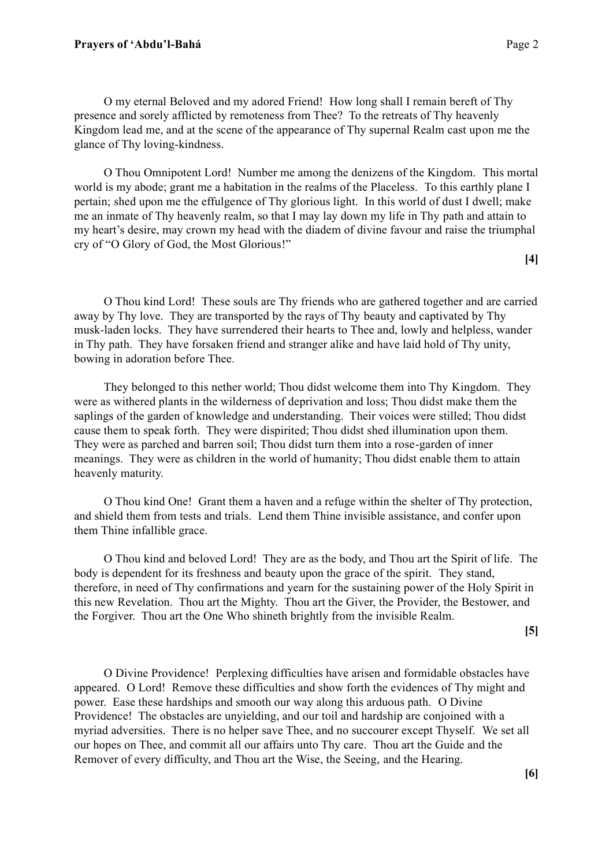O my eternal Beloved and my adored Friend! How long shall I remain bereft of Thy presence and sorely afflicted by remoteness from Thee? To the retreats of Thy heavenly Kingdom lead me, and at the scene of the appearance of Thy supernal Realm cast upon me the glance of Thy loving-kindness.

O Thou Omnipotent Lord! Number me among the denizens of the Kingdom. This mortal world is my abode; grant me a habitation in the realms of the Placeless. To this earthly plane I pertain; shed upon me the effulgence of Thy glorious light. In this world of dust I dwell; make me an inmate of Thy heavenly realm, so that I may lay down my life in Thy path and attain to my heart's desire, may crown my head with the diadem of divine favour and raise the triumphal cry of "O Glory of God, the Most Glorious!"

**[4]**

O Thou kind Lord! These souls are Thy friends who are gathered together and are carried away by Thy love. They are transported by the rays of Thy beauty and captivated by Thy musk-laden locks. They have surrendered their hearts to Thee and, lowly and helpless, wander in Thy path. They have forsaken friend and stranger alike and have laid hold of Thy unity, bowing in adoration before Thee.

They belonged to this nether world; Thou didst welcome them into Thy Kingdom. They were as withered plants in the wilderness of deprivation and loss; Thou didst make them the saplings of the garden of knowledge and understanding. Their voices were stilled; Thou didst cause them to speak forth. They were dispirited; Thou didst shed illumination upon them. They were as parched and barren soil; Thou didst turn them into a rose-garden of inner meanings. They were as children in the world of humanity; Thou didst enable them to attain heavenly maturity.

O Thou kind One! Grant them a haven and a refuge within the shelter of Thy protection, and shield them from tests and trials. Lend them Thine invisible assistance, and confer upon them Thine infallible grace.

O Thou kind and beloved Lord! They are as the body, and Thou art the Spirit of life. The body is dependent for its freshness and beauty upon the grace of the spirit. They stand, therefore, in need of Thy confirmations and yearn for the sustaining power of the Holy Spirit in this new Revelation. Thou art the Mighty. Thou art the Giver, the Provider, the Bestower, and the Forgiver. Thou art the One Who shineth brightly from the invisible Realm.

**[5]**

O Divine Providence! Perplexing difficulties have arisen and formidable obstacles have appeared. O Lord! Remove these difficulties and show forth the evidences of Thy might and power. Ease these hardships and smooth our way along this arduous path. O Divine Providence! The obstacles are unyielding, and our toil and hardship are conjoined with a myriad adversities. There is no helper save Thee, and no succourer except Thyself. We set all our hopes on Thee, and commit all our affairs unto Thy care. Thou art the Guide and the Remover of every difficulty, and Thou art the Wise, the Seeing, and the Hearing.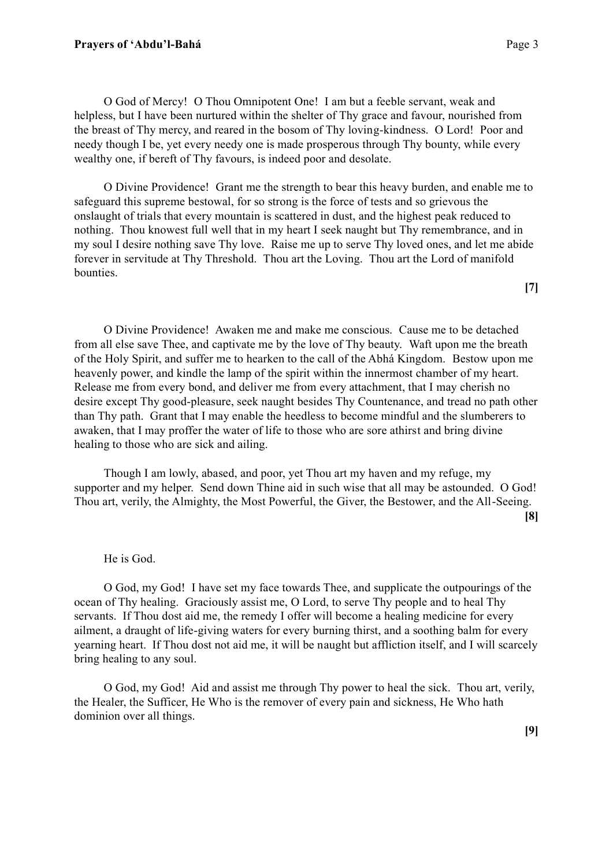O God of Mercy! O Thou Omnipotent One! I am but a feeble servant, weak and helpless, but I have been nurtured within the shelter of Thy grace and favour, nourished from the breast of Thy mercy, and reared in the bosom of Thy loving-kindness. O Lord! Poor and needy though I be, yet every needy one is made prosperous through Thy bounty, while every wealthy one, if bereft of Thy favours, is indeed poor and desolate.

O Divine Providence! Grant me the strength to bear this heavy burden, and enable me to safeguard this supreme bestowal, for so strong is the force of tests and so grievous the onslaught of trials that every mountain is scattered in dust, and the highest peak reduced to nothing. Thou knowest full well that in my heart I seek naught but Thy remembrance, and in my soul I desire nothing save Thy love. Raise me up to serve Thy loved ones, and let me abide forever in servitude at Thy Threshold. Thou art the Loving. Thou art the Lord of manifold bounties.

**[7]**

O Divine Providence! Awaken me and make me conscious. Cause me to be detached from all else save Thee, and captivate me by the love of Thy beauty. Waft upon me the breath of the Holy Spirit, and suffer me to hearken to the call of the Abhá Kingdom. Bestow upon me heavenly power, and kindle the lamp of the spirit within the innermost chamber of my heart. Release me from every bond, and deliver me from every attachment, that I may cherish no desire except Thy good-pleasure, seek naught besides Thy Countenance, and tread no path other than Thy path. Grant that I may enable the heedless to become mindful and the slumberers to awaken, that I may proffer the water of life to those who are sore athirst and bring divine healing to those who are sick and ailing.

Though I am lowly, abased, and poor, yet Thou art my haven and my refuge, my supporter and my helper. Send down Thine aid in such wise that all may be astounded. O God! Thou art, verily, the Almighty, the Most Powerful, the Giver, the Bestower, and the All-Seeing. **[8]**

## He is God.

O God, my God! I have set my face towards Thee, and supplicate the outpourings of the ocean of Thy healing. Graciously assist me, O Lord, to serve Thy people and to heal Thy servants. If Thou dost aid me, the remedy I offer will become a healing medicine for every ailment, a draught of life-giving waters for every burning thirst, and a soothing balm for every yearning heart. If Thou dost not aid me, it will be naught but affliction itself, and I will scarcely bring healing to any soul.

O God, my God! Aid and assist me through Thy power to heal the sick. Thou art, verily, the Healer, the Sufficer, He Who is the remover of every pain and sickness, He Who hath dominion over all things.

**[9]**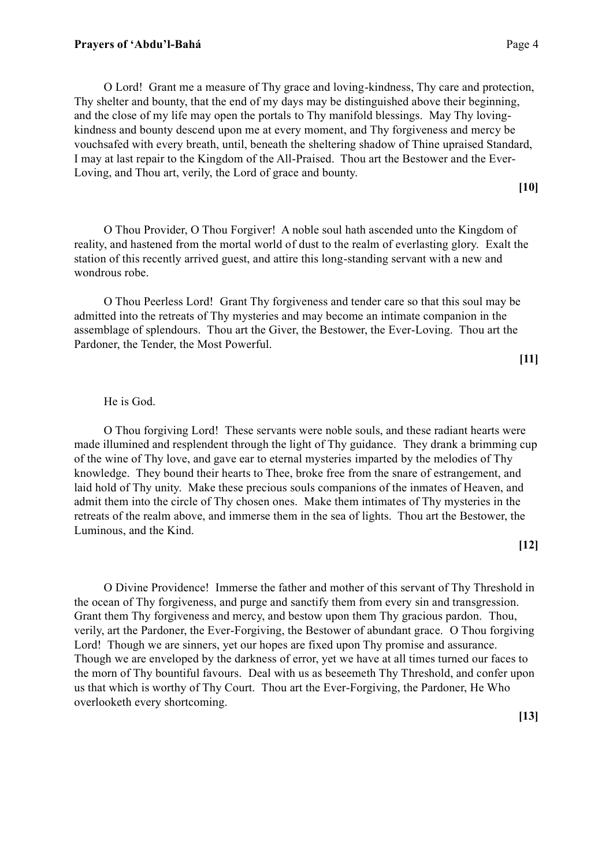O Lord! Grant me a measure of Thy grace and loving-kindness, Thy care and protection, Thy shelter and bounty, that the end of my days may be distinguished above their beginning, and the close of my life may open the portals to Thy manifold blessings. May Thy lovingkindness and bounty descend upon me at every moment, and Thy forgiveness and mercy be vouchsafed with every breath, until, beneath the sheltering shadow of Thine upraised Standard, I may at last repair to the Kingdom of the All-Praised. Thou art the Bestower and the Ever-Loving, and Thou art, verily, the Lord of grace and bounty.

O Thou Provider, O Thou Forgiver! A noble soul hath ascended unto the Kingdom of reality, and hastened from the mortal world of dust to the realm of everlasting glory. Exalt the station of this recently arrived guest, and attire this long-standing servant with a new and wondrous robe.

O Thou Peerless Lord! Grant Thy forgiveness and tender care so that this soul may be admitted into the retreats of Thy mysteries and may become an intimate companion in the assemblage of splendours. Thou art the Giver, the Bestower, the Ever-Loving. Thou art the Pardoner, the Tender, the Most Powerful.

# He is God.

O Thou forgiving Lord! These servants were noble souls, and these radiant hearts were made illumined and resplendent through the light of Thy guidance. They drank a brimming cup of the wine of Thy love, and gave ear to eternal mysteries imparted by the melodies of Thy knowledge. They bound their hearts to Thee, broke free from the snare of estrangement, and laid hold of Thy unity. Make these precious souls companions of the inmates of Heaven, and admit them into the circle of Thy chosen ones. Make them intimates of Thy mysteries in the retreats of the realm above, and immerse them in the sea of lights. Thou art the Bestower, the Luminous, and the Kind.

**[12]**

O Divine Providence! Immerse the father and mother of this servant of Thy Threshold in the ocean of Thy forgiveness, and purge and sanctify them from every sin and transgression. Grant them Thy forgiveness and mercy, and bestow upon them Thy gracious pardon. Thou, verily, art the Pardoner, the Ever-Forgiving, the Bestower of abundant grace. O Thou forgiving Lord! Though we are sinners, yet our hopes are fixed upon Thy promise and assurance. Though we are enveloped by the darkness of error, yet we have at all times turned our faces to the morn of Thy bountiful favours. Deal with us as beseemeth Thy Threshold, and confer upon us that which is worthy of Thy Court. Thou art the Ever-Forgiving, the Pardoner, He Who overlooketh every shortcoming.

**[10]**

**[11]**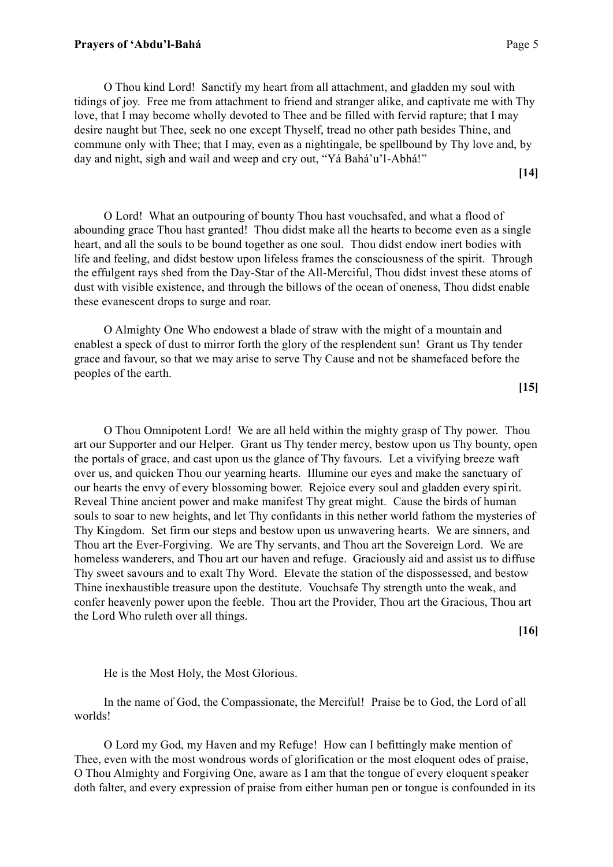O Thou kind Lord! Sanctify my heart from all attachment, and gladden my soul with tidings of joy. Free me from attachment to friend and stranger alike, and captivate me with Thy love, that I may become wholly devoted to Thee and be filled with fervid rapture; that I may desire naught but Thee, seek no one except Thyself, tread no other path besides Thine, and commune only with Thee; that I may, even as a nightingale, be spellbound by Thy love and, by day and night, sigh and wail and weep and cry out, "Yá Bahá'u'l-Abhá!"

**[14]**

O Lord! What an outpouring of bounty Thou hast vouchsafed, and what a flood of abounding grace Thou hast granted! Thou didst make all the hearts to become even as a single heart, and all the souls to be bound together as one soul. Thou didst endow inert bodies with life and feeling, and didst bestow upon lifeless frames the consciousness of the spirit. Through the effulgent rays shed from the Day-Star of the All-Merciful, Thou didst invest these atoms of dust with visible existence, and through the billows of the ocean of oneness, Thou didst enable these evanescent drops to surge and roar.

O Almighty One Who endowest a blade of straw with the might of a mountain and enablest a speck of dust to mirror forth the glory of the resplendent sun! Grant us Thy tender grace and favour, so that we may arise to serve Thy Cause and not be shamefaced before the peoples of the earth.

**[15]**

O Thou Omnipotent Lord! We are all held within the mighty grasp of Thy power. Thou art our Supporter and our Helper. Grant us Thy tender mercy, bestow upon us Thy bounty, open the portals of grace, and cast upon us the glance of Thy favours. Let a vivifying breeze waft over us, and quicken Thou our yearning hearts. Illumine our eyes and make the sanctuary of our hearts the envy of every blossoming bower. Rejoice every soul and gladden every spirit. Reveal Thine ancient power and make manifest Thy great might. Cause the birds of human souls to soar to new heights, and let Thy confidants in this nether world fathom the mysteries of Thy Kingdom. Set firm our steps and bestow upon us unwavering hearts. We are sinners, and Thou art the Ever-Forgiving. We are Thy servants, and Thou art the Sovereign Lord. We are homeless wanderers, and Thou art our haven and refuge. Graciously aid and assist us to diffuse Thy sweet savours and to exalt Thy Word. Elevate the station of the dispossessed, and bestow Thine inexhaustible treasure upon the destitute. Vouchsafe Thy strength unto the weak, and confer heavenly power upon the feeble. Thou art the Provider, Thou art the Gracious, Thou art the Lord Who ruleth over all things.

**[16]**

He is the Most Holy, the Most Glorious.

In the name of God, the Compassionate, the Merciful! Praise be to God, the Lord of all worlds!

O Lord my God, my Haven and my Refuge! How can I befittingly make mention of Thee, even with the most wondrous words of glorification or the most eloquent odes of praise, O Thou Almighty and Forgiving One, aware as I am that the tongue of every eloquent speaker doth falter, and every expression of praise from either human pen or tongue is confounded in its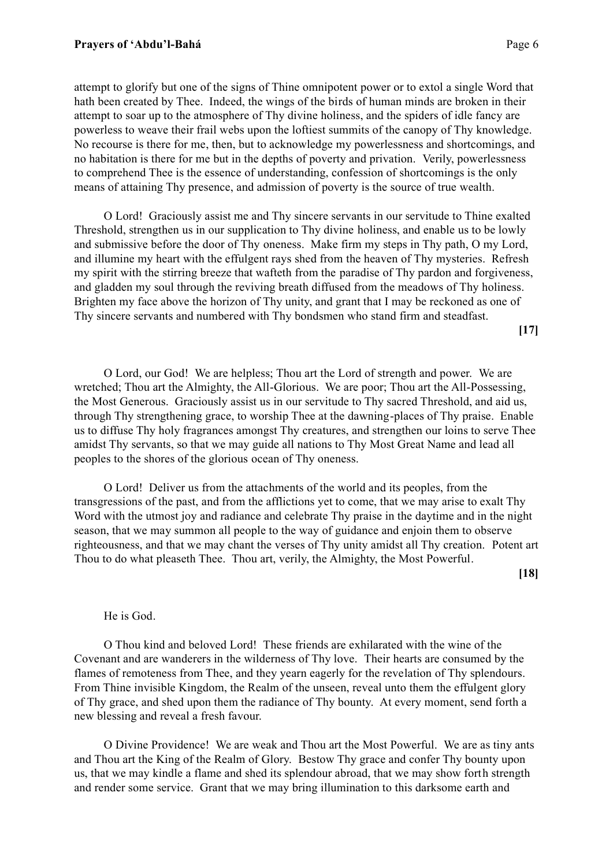attempt to glorify but one of the signs of Thine omnipotent power or to extol a single Word that hath been created by Thee. Indeed, the wings of the birds of human minds are broken in their attempt to soar up to the atmosphere of Thy divine holiness, and the spiders of idle fancy are powerless to weave their frail webs upon the loftiest summits of the canopy of Thy knowledge. No recourse is there for me, then, but to acknowledge my powerlessness and shortcomings, and no habitation is there for me but in the depths of poverty and privation. Verily, powerlessness to comprehend Thee is the essence of understanding, confession of shortcomings is the only means of attaining Thy presence, and admission of poverty is the source of true wealth.

O Lord! Graciously assist me and Thy sincere servants in our servitude to Thine exalted Threshold, strengthen us in our supplication to Thy divine holiness, and enable us to be lowly and submissive before the door of Thy oneness. Make firm my steps in Thy path, O my Lord, and illumine my heart with the effulgent rays shed from the heaven of Thy mysteries. Refresh my spirit with the stirring breeze that wafteth from the paradise of Thy pardon and forgiveness, and gladden my soul through the reviving breath diffused from the meadows of Thy holiness. Brighten my face above the horizon of Thy unity, and grant that I may be reckoned as one of Thy sincere servants and numbered with Thy bondsmen who stand firm and steadfast.

**[17]**

O Lord, our God! We are helpless; Thou art the Lord of strength and power. We are wretched; Thou art the Almighty, the All-Glorious. We are poor; Thou art the All-Possessing, the Most Generous. Graciously assist us in our servitude to Thy sacred Threshold, and aid us, through Thy strengthening grace, to worship Thee at the dawning-places of Thy praise. Enable us to diffuse Thy holy fragrances amongst Thy creatures, and strengthen our loins to serve Thee amidst Thy servants, so that we may guide all nations to Thy Most Great Name and lead all peoples to the shores of the glorious ocean of Thy oneness.

O Lord! Deliver us from the attachments of the world and its peoples, from the transgressions of the past, and from the afflictions yet to come, that we may arise to exalt Thy Word with the utmost joy and radiance and celebrate Thy praise in the daytime and in the night season, that we may summon all people to the way of guidance and enjoin them to observe righteousness, and that we may chant the verses of Thy unity amidst all Thy creation. Potent art Thou to do what pleaseth Thee. Thou art, verily, the Almighty, the Most Powerful.

**[18]**

### He is God.

O Thou kind and beloved Lord! These friends are exhilarated with the wine of the Covenant and are wanderers in the wilderness of Thy love. Their hearts are consumed by the flames of remoteness from Thee, and they yearn eagerly for the revelation of Thy splendours. From Thine invisible Kingdom, the Realm of the unseen, reveal unto them the effulgent glory of Thy grace, and shed upon them the radiance of Thy bounty. At every moment, send forth a new blessing and reveal a fresh favour.

O Divine Providence! We are weak and Thou art the Most Powerful. We are as tiny ants and Thou art the King of the Realm of Glory. Bestow Thy grace and confer Thy bounty upon us, that we may kindle a flame and shed its splendour abroad, that we may show forth strength and render some service. Grant that we may bring illumination to this darksome earth and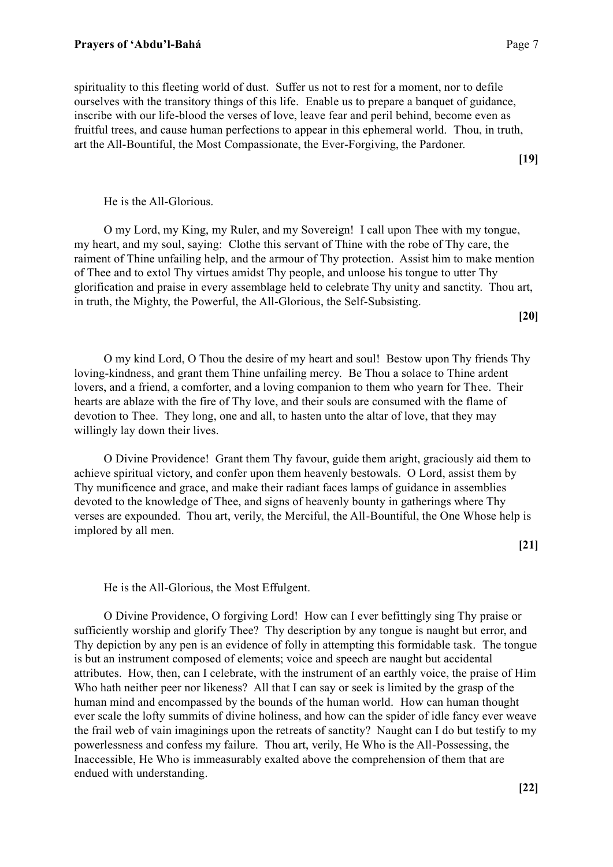spirituality to this fleeting world of dust. Suffer us not to rest for a moment, nor to defile ourselves with the transitory things of this life. Enable us to prepare a banquet of guidance, inscribe with our life-blood the verses of love, leave fear and peril behind, become even as fruitful trees, and cause human perfections to appear in this ephemeral world. Thou, in truth, art the All-Bountiful, the Most Compassionate, the Ever-Forgiving, the Pardoner.

**[19]**

### He is the All-Glorious.

O my Lord, my King, my Ruler, and my Sovereign! I call upon Thee with my tongue, my heart, and my soul, saying: Clothe this servant of Thine with the robe of Thy care, the raiment of Thine unfailing help, and the armour of Thy protection. Assist him to make mention of Thee and to extol Thy virtues amidst Thy people, and unloose his tongue to utter Thy glorification and praise in every assemblage held to celebrate Thy unity and sanctity. Thou art, in truth, the Mighty, the Powerful, the All-Glorious, the Self-Subsisting.

**[20]**

O my kind Lord, O Thou the desire of my heart and soul! Bestow upon Thy friends Thy loving-kindness, and grant them Thine unfailing mercy. Be Thou a solace to Thine ardent lovers, and a friend, a comforter, and a loving companion to them who yearn for Thee. Their hearts are ablaze with the fire of Thy love, and their souls are consumed with the flame of devotion to Thee. They long, one and all, to hasten unto the altar of love, that they may willingly lay down their lives.

O Divine Providence! Grant them Thy favour, guide them aright, graciously aid them to achieve spiritual victory, and confer upon them heavenly bestowals. O Lord, assist them by Thy munificence and grace, and make their radiant faces lamps of guidance in assemblies devoted to the knowledge of Thee, and signs of heavenly bounty in gatherings where Thy verses are expounded. Thou art, verily, the Merciful, the All-Bountiful, the One Whose help is implored by all men.

**[21]**

He is the All-Glorious, the Most Effulgent.

O Divine Providence, O forgiving Lord! How can I ever befittingly sing Thy praise or sufficiently worship and glorify Thee? Thy description by any tongue is naught but error, and Thy depiction by any pen is an evidence of folly in attempting this formidable task. The tongue is but an instrument composed of elements; voice and speech are naught but accidental attributes. How, then, can I celebrate, with the instrument of an earthly voice, the praise of Him Who hath neither peer nor likeness? All that I can say or seek is limited by the grasp of the human mind and encompassed by the bounds of the human world. How can human thought ever scale the lofty summits of divine holiness, and how can the spider of idle fancy ever weave the frail web of vain imaginings upon the retreats of sanctity? Naught can I do but testify to my powerlessness and confess my failure. Thou art, verily, He Who is the All-Possessing, the Inaccessible, He Who is immeasurably exalted above the comprehension of them that are endued with understanding.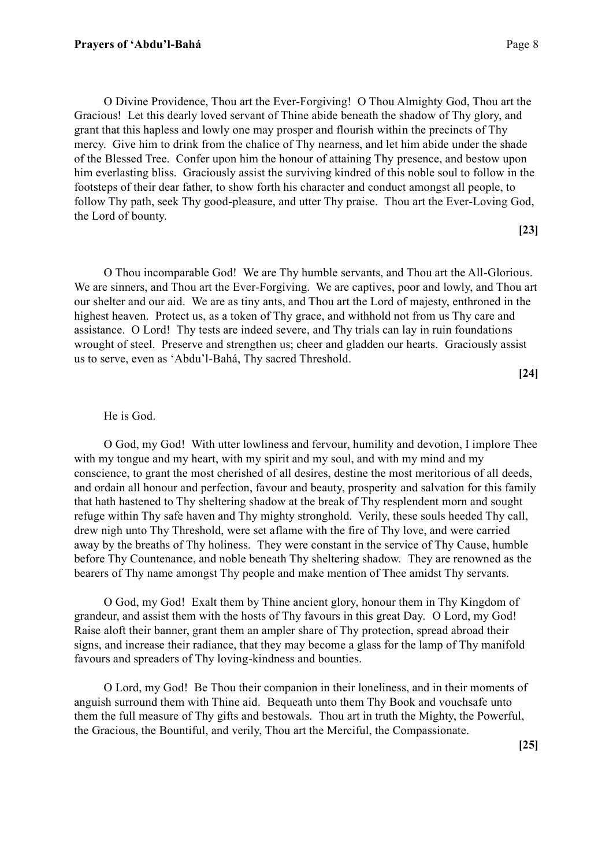O Divine Providence, Thou art the Ever-Forgiving! O Thou Almighty God, Thou art the Gracious! Let this dearly loved servant of Thine abide beneath the shadow of Thy glory, and grant that this hapless and lowly one may prosper and flourish within the precincts of Thy mercy. Give him to drink from the chalice of Thy nearness, and let him abide under the shade of the Blessed Tree. Confer upon him the honour of attaining Thy presence, and bestow upon him everlasting bliss. Graciously assist the surviving kindred of this noble soul to follow in the footsteps of their dear father, to show forth his character and conduct amongst all people, to follow Thy path, seek Thy good-pleasure, and utter Thy praise. Thou art the Ever-Loving God, the Lord of bounty.

**[23]**

O Thou incomparable God! We are Thy humble servants, and Thou art the All-Glorious. We are sinners, and Thou art the Ever-Forgiving. We are captives, poor and lowly, and Thou art our shelter and our aid. We are as tiny ants, and Thou art the Lord of majesty, enthroned in the highest heaven. Protect us, as a token of Thy grace, and withhold not from us Thy care and assistance. O Lord! Thy tests are indeed severe, and Thy trials can lay in ruin foundations wrought of steel. Preserve and strengthen us; cheer and gladden our hearts. Graciously assist us to serve, even as 'Abdu'l-Bahá, Thy sacred Threshold.

**[24]**

#### He is God.

O God, my God! With utter lowliness and fervour, humility and devotion, I implore Thee with my tongue and my heart, with my spirit and my soul, and with my mind and my conscience, to grant the most cherished of all desires, destine the most meritorious of all deeds, and ordain all honour and perfection, favour and beauty, prosperity and salvation for this family that hath hastened to Thy sheltering shadow at the break of Thy resplendent morn and sought refuge within Thy safe haven and Thy mighty stronghold. Verily, these souls heeded Thy call, drew nigh unto Thy Threshold, were set aflame with the fire of Thy love, and were carried away by the breaths of Thy holiness. They were constant in the service of Thy Cause, humble before Thy Countenance, and noble beneath Thy sheltering shadow. They are renowned as the bearers of Thy name amongst Thy people and make mention of Thee amidst Thy servants.

O God, my God! Exalt them by Thine ancient glory, honour them in Thy Kingdom of grandeur, and assist them with the hosts of Thy favours in this great Day. O Lord, my God! Raise aloft their banner, grant them an ampler share of Thy protection, spread abroad their signs, and increase their radiance, that they may become a glass for the lamp of Thy manifold favours and spreaders of Thy loving-kindness and bounties.

O Lord, my God! Be Thou their companion in their loneliness, and in their moments of anguish surround them with Thine aid. Bequeath unto them Thy Book and vouchsafe unto them the full measure of Thy gifts and bestowals. Thou art in truth the Mighty, the Powerful, the Gracious, the Bountiful, and verily, Thou art the Merciful, the Compassionate.